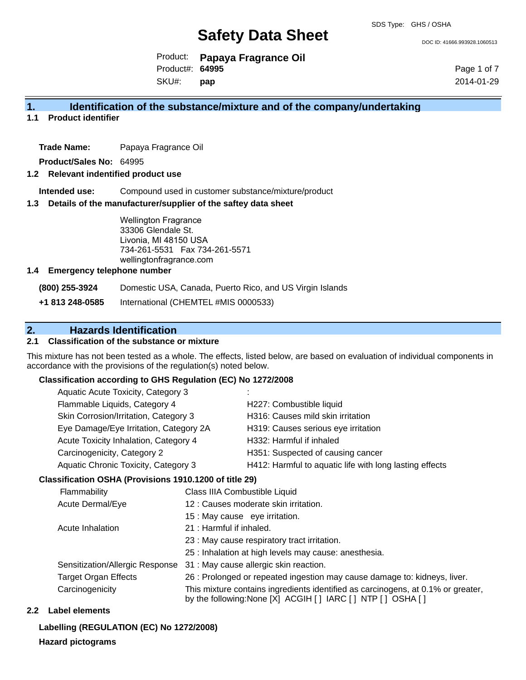DOC ID: 41666.993928.1060513

Product: **Papaya Fragrance Oil** SKU#: Product#: **64995 pap**

Page 1 of 7 2014-01-29

## **1. Identification of the substance/mixture and of the company/undertaking**

**1.1 Product identifier**

**Trade Name:** Papaya Fragrance Oil

**Product/Sales No:** 64995

#### **1.2 Relevant indentified product use**

**Intended use:** Compound used in customer substance/mixture/product

#### **1.3 Details of the manufacturer/supplier of the saftey data sheet**

Wellington Fragrance 33306 Glendale St. Livonia, MI 48150 USA 734-261-5531 Fax 734-261-5571 wellingtonfragrance.com

#### **1.4 Emergency telephone number**

**(800) 255-3924** Domestic USA, Canada, Puerto Rico, and US Virgin Islands

**+1 813 248-0585** International (CHEMTEL #MIS 0000533)

## **2. Hazards Identification**

## **2.1 Classification of the substance or mixture**

This mixture has not been tested as a whole. The effects, listed below, are based on evaluation of individual components in accordance with the provisions of the regulation(s) noted below.

#### **Classification according to GHS Regulation (EC) No 1272/2008**

| Aquatic Acute Toxicity, Category 3     | $\sim$                                                  |
|----------------------------------------|---------------------------------------------------------|
| Flammable Liquids, Category 4          | H227: Combustible liquid                                |
| Skin Corrosion/Irritation, Category 3  | H316: Causes mild skin irritation                       |
| Eye Damage/Eye Irritation, Category 2A | H319: Causes serious eye irritation                     |
| Acute Toxicity Inhalation, Category 4  | H332: Harmful if inhaled                                |
| Carcinogenicity, Category 2            | H351: Suspected of causing cancer                       |
| Aquatic Chronic Toxicity, Category 3   | H412: Harmful to aquatic life with long lasting effects |
|                                        |                                                         |

#### **Classification OSHA (Provisions 1910.1200 of title 29)**

| Flammability                    | Class IIIA Combustible Liquid                                                                                                                      |
|---------------------------------|----------------------------------------------------------------------------------------------------------------------------------------------------|
| <b>Acute Dermal/Eye</b>         | 12 : Causes moderate skin irritation.                                                                                                              |
|                                 | 15 : May cause eye irritation.                                                                                                                     |
| Acute Inhalation                | 21 : Harmful if inhaled.                                                                                                                           |
|                                 | 23 : May cause respiratory tract irritation.                                                                                                       |
|                                 | 25 : Inhalation at high levels may cause: anesthesia.                                                                                              |
| Sensitization/Allergic Response | 31 : May cause allergic skin reaction.                                                                                                             |
| <b>Target Organ Effects</b>     | 26 : Prolonged or repeated ingestion may cause damage to: kidneys, liver.                                                                          |
| Carcinogenicity                 | This mixture contains ingredients identified as carcinogens, at 0.1% or greater,<br>by the following: None [X] ACGIH [ ] IARC [ ] NTP [ ] OSHA [ ] |

#### **2.2 Label elements**

**Labelling (REGULATION (EC) No 1272/2008)**

#### **Hazard pictograms**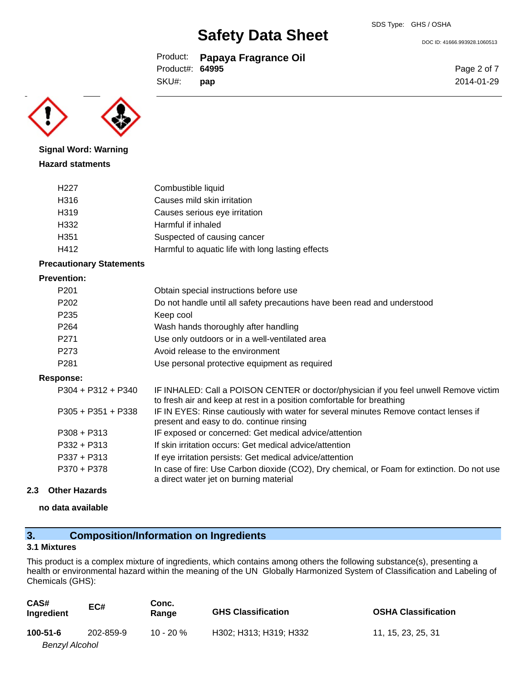DOC ID: 41666.993928.1060513

Page 2 of 7 2014-01-29

Product: **Papaya Fragrance Oil** Product#: **64995**

SKU#: **pap**

**Signal Word: Warning Hazard statments**

| H <sub>22</sub> 7 | Combustible liquid                                |
|-------------------|---------------------------------------------------|
| H316              | Causes mild skin irritation                       |
| H319              | Causes serious eye irritation                     |
| H332              | Harmful if inhaled                                |
| H <sub>351</sub>  | Suspected of causing cancer                       |
| H412              | Harmful to aquatic life with long lasting effects |
|                   |                                                   |

### **Precautionary Statements**

#### **Prevention:**

| P <sub>201</sub> | Obtain special instructions before use                                   |
|------------------|--------------------------------------------------------------------------|
| P <sub>202</sub> | Do not handle until all safety precautions have been read and understood |
| P <sub>235</sub> | Keep cool                                                                |
| P <sub>264</sub> | Wash hands thoroughly after handling                                     |
| P <sub>271</sub> | Use only outdoors or in a well-ventilated area                           |
| P <sub>273</sub> | Avoid release to the environment                                         |
| P <sub>281</sub> | Use personal protective equipment as required                            |
|                  |                                                                          |

#### **Response:**

| $P304 + P312 + P340$ | IF INHALED: Call a POISON CENTER or doctor/physician if you feel unwell Remove victim<br>to fresh air and keep at rest in a position comfortable for breathing |
|----------------------|----------------------------------------------------------------------------------------------------------------------------------------------------------------|
| $P305 + P351 + P338$ | IF IN EYES: Rinse cautiously with water for several minutes Remove contact lenses if<br>present and easy to do. continue rinsing                               |
| $P308 + P313$        | IF exposed or concerned: Get medical advice/attention                                                                                                          |
| $P332 + P313$        | If skin irritation occurs: Get medical advice/attention                                                                                                        |
| $P337 + P313$        | If eye irritation persists: Get medical advice/attention                                                                                                       |
| P370 + P378          | In case of fire: Use Carbon dioxide (CO2), Dry chemical, or Foam for extinction. Do not use<br>a direct water jet on burning material                          |

#### **2.3 Other Hazards**

**no data available**

## **3. Composition/Information on Ingredients**

### **3.1 Mixtures**

This product is a complex mixture of ingredients, which contains among others the following substance(s), presenting a health or environmental hazard within the meaning of the UN Globally Harmonized System of Classification and Labeling of Chemicals (GHS):

| CAS#<br>Ingredient | EC#       | Conc.<br>Range | <b>GHS Classification</b> | <b>OSHA Classification</b> |
|--------------------|-----------|----------------|---------------------------|----------------------------|
| $100 - 51 - 6$     | 202-859-9 | $10 - 20 \%$   | H302: H313: H319: H332    | 11, 15, 23, 25, 31         |
| Benzyl Alcohol     |           |                |                           |                            |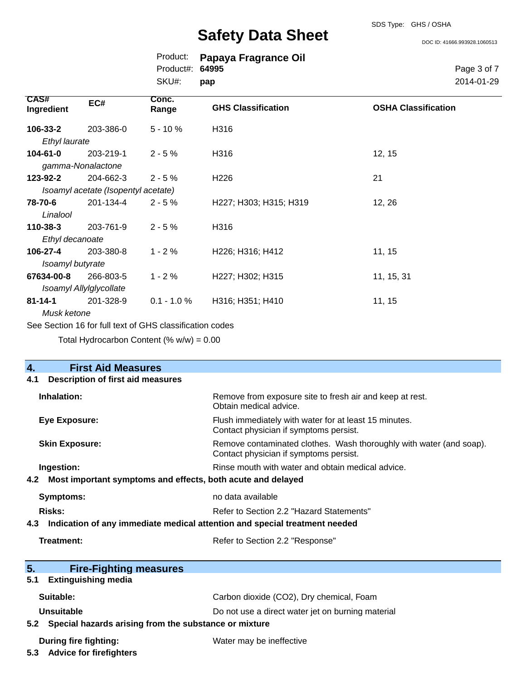DOC ID: 41666.993928.1060513

|                           |                                     | Product:                                                 | Papaya Fragrance Oil      |                            |
|---------------------------|-------------------------------------|----------------------------------------------------------|---------------------------|----------------------------|
|                           |                                     | Product#:                                                | 64995                     | Page 3 of 7                |
|                           |                                     | SKU#:                                                    | pap                       | 2014-01-29                 |
| <b>CAS#</b><br>Ingredient | EC#                                 | Conc.<br>Range                                           | <b>GHS Classification</b> | <b>OSHA Classification</b> |
| 106-33-2                  | 203-386-0                           | $5 - 10%$                                                | H316                      |                            |
| Ethyl laurate             |                                     |                                                          |                           |                            |
| 104-61-0                  | 203-219-1                           | $2 - 5%$                                                 | H316                      | 12, 15                     |
|                           | gamma-Nonalactone                   |                                                          |                           |                            |
| 123-92-2                  | 204-662-3                           | $2 - 5%$                                                 | H <sub>226</sub>          | 21                         |
|                           | Isoamyl acetate (Isopentyl acetate) |                                                          |                           |                            |
| 78-70-6                   | 201-134-4                           | $2 - 5%$                                                 | H227; H303; H315; H319    | 12, 26                     |
| Linalool                  |                                     |                                                          |                           |                            |
| $110 - 38 - 3$            | 203-761-9                           | $2 - 5%$                                                 | H316                      |                            |
| Ethyl decanoate           |                                     |                                                          |                           |                            |
| 106-27-4                  | 203-380-8                           | $1 - 2%$                                                 | H226; H316; H412          | 11, 15                     |
| Isoamyl butyrate          |                                     |                                                          |                           |                            |
| 67634-00-8                | 266-803-5                           | $1 - 2%$                                                 | H227; H302; H315          | 11, 15, 31                 |
|                           | Isoamyl Allylglycollate             |                                                          |                           |                            |
| $81 - 14 - 1$             | 201-328-9                           | $0.1 - 1.0 \%$                                           | H316; H351; H410          | 11, 15                     |
| Musk ketone               |                                     |                                                          |                           |                            |
|                           |                                     | See Section 16 for full text of GHS classification codes |                           |                            |

Total Hydrocarbon Content  $(\% w/w) = 0.00$ 

| $\overline{4}$ .                                                                           | <b>First Aid Measures</b>                                                  |                                                                                                               |  |  |
|--------------------------------------------------------------------------------------------|----------------------------------------------------------------------------|---------------------------------------------------------------------------------------------------------------|--|--|
| 4.1                                                                                        | Description of first aid measures                                          |                                                                                                               |  |  |
| Inhalation:                                                                                |                                                                            | Remove from exposure site to fresh air and keep at rest.<br>Obtain medical advice.                            |  |  |
| <b>Eye Exposure:</b>                                                                       |                                                                            | Flush immediately with water for at least 15 minutes.<br>Contact physician if symptoms persist.               |  |  |
| <b>Skin Exposure:</b>                                                                      |                                                                            | Remove contaminated clothes. Wash thoroughly with water (and soap).<br>Contact physician if symptoms persist. |  |  |
| Ingestion:                                                                                 |                                                                            | Rinse mouth with water and obtain medical advice.                                                             |  |  |
| 4.2                                                                                        | Most important symptoms and effects, both acute and delayed                |                                                                                                               |  |  |
| <b>Symptoms:</b>                                                                           |                                                                            | no data available                                                                                             |  |  |
| Risks:<br>Refer to Section 2.2 "Hazard Statements"                                         |                                                                            |                                                                                                               |  |  |
| 4.3                                                                                        | Indication of any immediate medical attention and special treatment needed |                                                                                                               |  |  |
| Treatment:                                                                                 |                                                                            | Refer to Section 2.2 "Response"                                                                               |  |  |
| 5.                                                                                         | <b>Fire-Fighting measures</b>                                              |                                                                                                               |  |  |
| 5.1                                                                                        | <b>Extinguishing media</b>                                                 |                                                                                                               |  |  |
| Suitable:<br>Carbon dioxide (CO2), Dry chemical, Foam                                      |                                                                            |                                                                                                               |  |  |
|                                                                                            | <b>Unsuitable</b><br>Do not use a direct water jet on burning material     |                                                                                                               |  |  |
| 5.2                                                                                        | Special hazards arising from the substance or mixture                      |                                                                                                               |  |  |
| During fire fighting:<br>Water may be ineffective<br><b>Advice for firefighters</b><br>5.3 |                                                                            |                                                                                                               |  |  |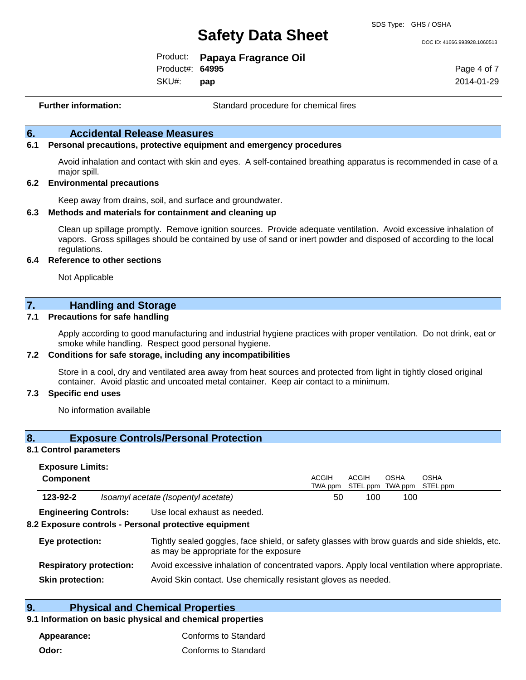DOC ID: 41666.993928.1060513

|                 | Product: Papaya Fragrance Oil |
|-----------------|-------------------------------|
| Product#: 64995 |                               |
| $\bigcap$       |                               |

SKU#: **pap** Page 4 of 7 2014-01-29

**Further information:** Standard procedure for chemical fires

## **6. Accidental Release Measures**

#### **6.1 Personal precautions, protective equipment and emergency procedures**

Avoid inhalation and contact with skin and eyes. A self-contained breathing apparatus is recommended in case of a major spill.

#### **6.2 Environmental precautions**

Keep away from drains, soil, and surface and groundwater.

#### **6.3 Methods and materials for containment and cleaning up**

Clean up spillage promptly. Remove ignition sources. Provide adequate ventilation. Avoid excessive inhalation of vapors. Gross spillages should be contained by use of sand or inert powder and disposed of according to the local regulations.

#### **6.4 Reference to other sections**

Not Applicable

## **7. Handling and Storage**

#### **7.1 Precautions for safe handling**

Apply according to good manufacturing and industrial hygiene practices with proper ventilation. Do not drink, eat or smoke while handling. Respect good personal hygiene.

#### **7.2 Conditions for safe storage, including any incompatibilities**

Store in a cool, dry and ventilated area away from heat sources and protected from light in tightly closed original container. Avoid plastic and uncoated metal container. Keep air contact to a minimum.

#### **7.3 Specific end uses**

No information available

### **8. Exposure Controls/Personal Protection**

#### **8.1 Control parameters**

| <b>Exposure Limits:</b> |                                     |              |       |      |                                           |  |
|-------------------------|-------------------------------------|--------------|-------|------|-------------------------------------------|--|
| <b>Component</b>        |                                     | <b>ACGIH</b> | ACGIH | OSHA | OSHA<br>TWA ppm STEL ppm TWA ppm STEL ppm |  |
| 123-92-2                | Isoamyl acetate (Isopentyl acetate) | 50           | 100   | 100  |                                           |  |

**Engineering Controls:** Use local exhaust as needed.

#### **8.2 Exposure controls - Personal protective equipment**

| Eye protection:                | Tightly sealed goggles, face shield, or safety glasses with brow guards and side shields, etc.<br>as may be appropriate for the exposure |
|--------------------------------|------------------------------------------------------------------------------------------------------------------------------------------|
| <b>Respiratory protection:</b> | Avoid excessive inhalation of concentrated vapors. Apply local ventilation where appropriate.                                            |
| <b>Skin protection:</b>        | Avoid Skin contact. Use chemically resistant gloves as needed.                                                                           |

## **9. Physical and Chemical Properties**

#### **9.1 Information on basic physical and chemical properties**

| Appearance: | Conforms to Standard |
|-------------|----------------------|
| Odor:       | Conforms to Standard |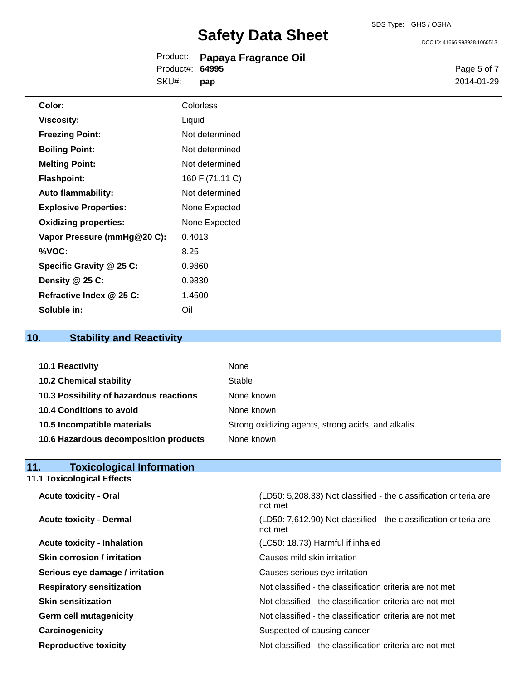DOC ID: 41666.993928.1060513

|                  | Product: Papaya Fragrance Oil |
|------------------|-------------------------------|
| Product#: 64995  |                               |
| SKU#: <b>pap</b> |                               |

Page 5 of 7 2014-01-29

| Color:                       | Colorless       |  |
|------------------------------|-----------------|--|
| Viscosity:                   | Liquid          |  |
| <b>Freezing Point:</b>       | Not determined  |  |
| <b>Boiling Point:</b>        | Not determined  |  |
| <b>Melting Point:</b>        | Not determined  |  |
| <b>Flashpoint:</b>           | 160 F (71.11 C) |  |
| <b>Auto flammability:</b>    | Not determined  |  |
| <b>Explosive Properties:</b> | None Expected   |  |
| <b>Oxidizing properties:</b> | None Expected   |  |
| Vapor Pressure (mmHg@20 C):  | 0.4013          |  |
| %VOC:                        | 8.25            |  |
| Specific Gravity @ 25 C:     | 0.9860          |  |
| Density @ 25 C:              | 0.9830          |  |
| Refractive Index @ 25 C:     | 1.4500          |  |
| Soluble in:                  | Oil             |  |

## **10. Stability and Reactivity**

| 10.1 Reactivity                         | None                                               |
|-----------------------------------------|----------------------------------------------------|
| <b>10.2 Chemical stability</b>          | Stable                                             |
| 10.3 Possibility of hazardous reactions | None known                                         |
| 10.4 Conditions to avoid                | None known                                         |
| 10.5 Incompatible materials             | Strong oxidizing agents, strong acids, and alkalis |
| 10.6 Hazardous decomposition products   | None known                                         |

## **11. Toxicological Information**

**11.1 Toxicological Effects**

| <b>Acute toxicity - Oral</b>       | (LD50: 5,208.33) Not classified - the classification criteria are<br>not met |
|------------------------------------|------------------------------------------------------------------------------|
| <b>Acute toxicity - Dermal</b>     | (LD50: 7,612.90) Not classified - the classification criteria are<br>not met |
| <b>Acute toxicity - Inhalation</b> | (LC50: 18.73) Harmful if inhaled                                             |
| <b>Skin corrosion / irritation</b> | Causes mild skin irritation                                                  |
| Serious eye damage / irritation    | Causes serious eye irritation                                                |
| <b>Respiratory sensitization</b>   | Not classified - the classification criteria are not met                     |
| <b>Skin sensitization</b>          | Not classified - the classification criteria are not met                     |
| <b>Germ cell mutagenicity</b>      | Not classified - the classification criteria are not met                     |
| Carcinogenicity                    | Suspected of causing cancer                                                  |
| <b>Reproductive toxicity</b>       | Not classified - the classification criteria are not met                     |
|                                    |                                                                              |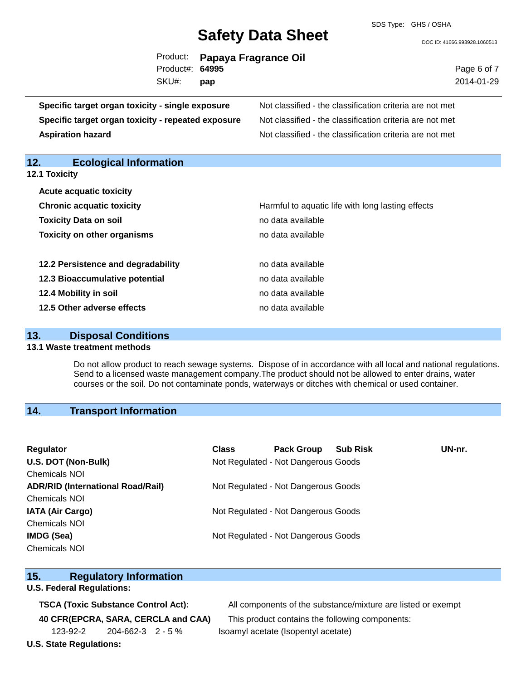SDS Type: GHS / OSHA

DOC ID: 41666.993928.1060513

|                 | Product: Papaya Fragrance Oil |
|-----------------|-------------------------------|
| Product#: 64995 |                               |
| SKU#:           | pap                           |

Page 6 of 7 2014-01-29

**Specific target organ toxicity - single exposure** Not classified - the classification criteria are not met **Specific target organ toxicity - repeated exposure** Not classified - the classification criteria are not met **Aspiration hazard Not classified - the classification criteria are not met** Not classified - the classification criteria are not met

## **12. Ecological Information 12.1 Toxicity Acute acquatic toxicity Chronic acquatic toxicity Harmful to aquatic life with long lasting effects Toxicity Data on soil no data available no data available Toxicity on other organisms no data available 12.2 Persistence and degradability no data available 12.3 Bioaccumulative potential example 3 and 2.3 Bioaccumulative potential** no data available **12.4 Mobility in soil 12.4 Mobility in soil 12.5 Other adverse effects** no data available

## **13. Disposal Conditions**

#### **13.1 Waste treatment methods**

Do not allow product to reach sewage systems. Dispose of in accordance with all local and national regulations. Send to a licensed waste management company.The product should not be allowed to enter drains, water courses or the soil. Do not contaminate ponds, waterways or ditches with chemical or used container.

## **14. Transport Information**

| Regulator<br>U.S. DOT (Non-Bulk)<br><b>Chemicals NOI</b> | <b>Class</b> | <b>Pack Group</b><br>Not Regulated - Not Dangerous Goods | <b>Sub Risk</b> | UN-nr. |
|----------------------------------------------------------|--------------|----------------------------------------------------------|-----------------|--------|
| <b>ADR/RID (International Road/Rail)</b>                 |              | Not Regulated - Not Dangerous Goods                      |                 |        |
| <b>Chemicals NOI</b>                                     |              |                                                          |                 |        |
| <b>IATA (Air Cargo)</b>                                  |              | Not Regulated - Not Dangerous Goods                      |                 |        |
| <b>Chemicals NOI</b>                                     |              |                                                          |                 |        |
| <b>IMDG (Sea)</b>                                        |              | Not Regulated - Not Dangerous Goods                      |                 |        |
| <b>Chemicals NOI</b>                                     |              |                                                          |                 |        |

### **15. Regulatory Information**

### **U.S. Federal Regulations:**

123-92-2 204-662-3 2 - 5 % Isoamyl acetate (Isopentyl acetate)

**TSCA (Toxic Substance Control Act):** All components of the substance/mixture are listed or exempt

**40 CFR(EPCRA, SARA, CERCLA and CAA)** This product contains the following components:

### **U.S. State Regulations:**